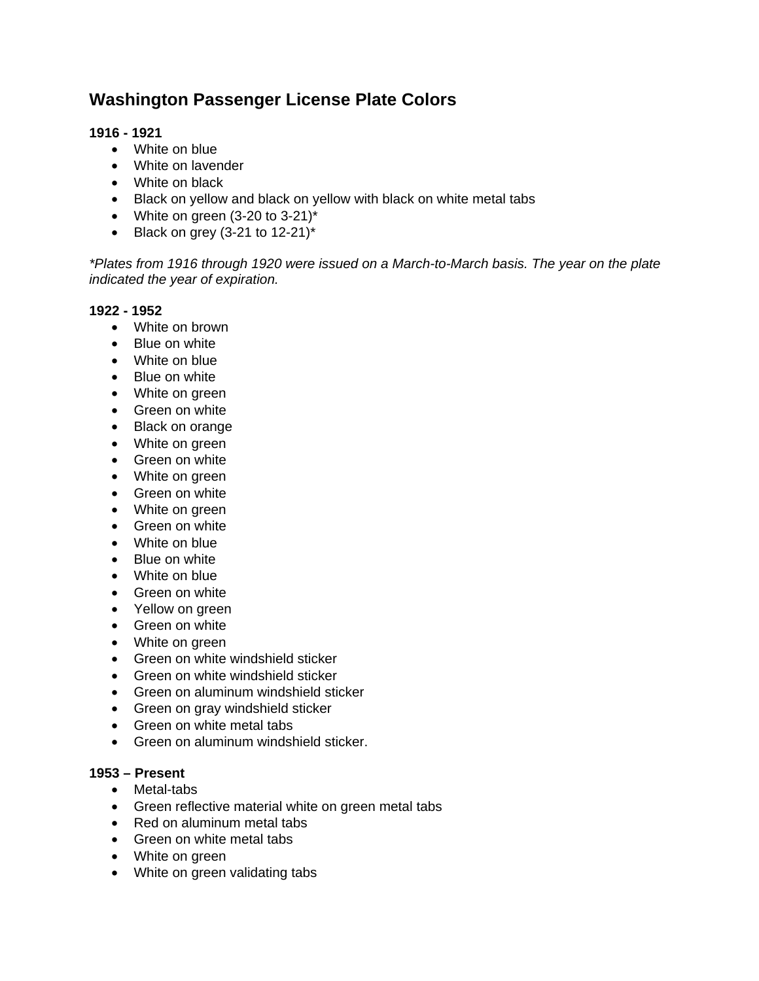## **Washington Passenger License Plate Colors**

## **1916 - 1921**

- White on blue
- White on lavender
- White on black
- Black on yellow and black on yellow with black on white metal tabs
- White on green  $(3-20 \text{ to } 3-21)^*$
- Black on grey  $(3-21 \text{ to } 12-21)^*$

*\*Plates from 1916 through 1920 were issued on a March-to-March basis. The year on the plate indicated the year of expiration.* 

## **1922 - 1952**

- White on brown
- Blue on white
- White on blue
- Blue on white
- White on green
- Green on white
- Black on orange
- White on green
- Green on white
- White on green
- Green on white
- White on green
- Green on white
- White on blue
- Blue on white
- White on blue
- Green on white
- Yellow on green
- Green on white
- White on green
- Green on white windshield sticker
- Green on white windshield sticker
- Green on aluminum windshield sticker
- Green on gray windshield sticker
- Green on white metal tabs
- Green on aluminum windshield sticker.

## **1953 – Present**

- Metal-tabs
- Green reflective material white on green metal tabs
- Red on aluminum metal tabs
- Green on white metal tabs
- White on green
- White on green validating tabs